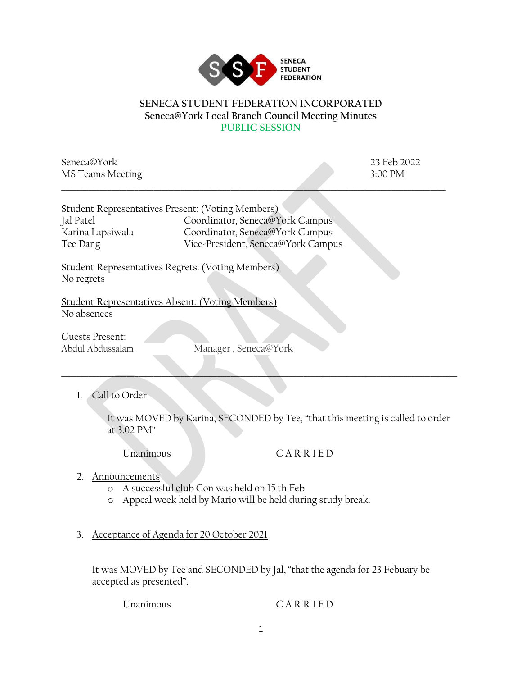

## **SENECA STUDENT FEDERATION INCORPORATED Seneca@York Local Branch Council Meeting Minutes PUBLIC SESSION**

Seneca@York 23 Feb 2022 MS Teams Meeting 3:00 PM \_\_\_\_\_\_\_\_\_\_\_\_\_\_\_\_\_\_\_\_\_\_\_\_\_\_\_\_\_\_\_\_\_\_\_\_\_\_\_\_\_\_\_\_\_\_\_\_\_\_\_\_\_\_\_\_\_\_\_\_\_\_\_\_\_\_\_\_\_\_\_\_\_\_\_\_\_\_\_\_\_\_\_\_\_\_\_\_\_\_\_\_\_\_\_\_\_\_\_\_

|                  | Student Representatives Present: (Voting Members) |
|------------------|---------------------------------------------------|
| Jal Patel        | Coordinator, Seneca@York Campus                   |
| Karina Lapsiwala | Coordinator, Seneca@York Campus                   |
| Tee Dang         | Vice-President, Seneca@York Campus                |

Student Representatives Regrets: (Voting Members) No regrets

Student Representatives Absent: (Voting Members) No absences

Guests Present:<br>Abdul Abdussalam

Manager, Seneca@York

\_\_\_\_\_\_\_\_\_\_\_\_\_\_\_\_\_\_\_\_\_\_\_\_\_\_\_\_\_\_\_\_\_\_\_\_\_\_\_\_\_\_\_\_\_\_\_\_\_\_\_\_\_\_\_\_\_\_\_\_\_\_\_\_\_\_\_\_\_\_\_\_\_\_\_\_\_\_\_\_\_\_\_\_\_\_\_\_\_\_\_\_\_\_\_\_\_\_\_\_\_\_\_

1. Call to Order

It was MOVED by Karina, SECONDED by Tee, "that this meeting is called to order at 3:02 PM"

## Unanimous C A R R I E D

- 2. Announcements
	- o A successful club Con was held on 15 th Feb
	- o Appeal week held by Mario will be held during study break.
- 3. Acceptance of Agenda for 20 October 2021

It was MOVED by Tee and SECONDED by Jal, "that the agenda for 23 Febuary be accepted as presented".

Unanimous C A R R I E D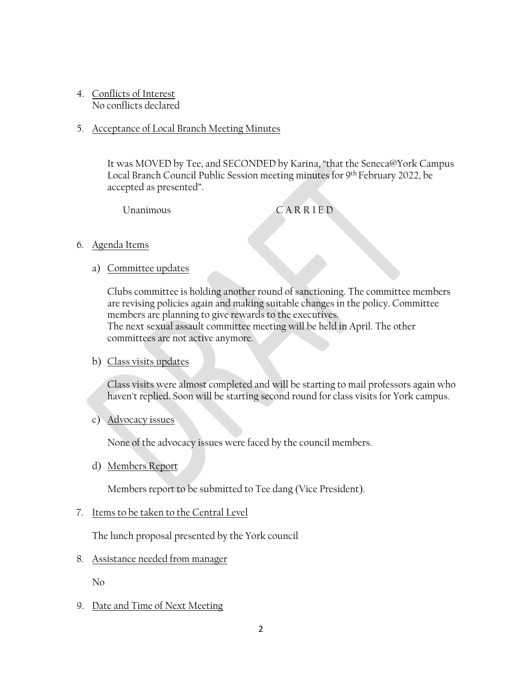- 4. Conflicts of Interest No conflicts declared
- 5. Acceptance of Local Branch Meeting Minutes

It was MOVED by Tee, and SECONDED by Karina, "that the Seneca@York Campus Local Branch Council Public Session meeting minutes for 9th February 2022, be accepted as presented".

Unanimous C A R R I E D

- 6. Agenda Items
	- a) Committee updates

Clubs committee is holding another round of sanctioning. The committee members are revising policies again and making suitable changes in the policy. Committee members are planning to give rewards to the executives. The next sexual assault committee meeting will be held in April. The other committees are not active anymore.

## b) Class visits updates

Class visits were almost completed and will be starting to mail professors again who haven't replied. Soon will be starting second round for class visits for York campus.

c) Advocacy issues

None of the advocacy issues were faced by the council members.

d) Members Report

Members report to be submitted to Tee dang (Vice President).

7. Items to be taken to the Central Level

The lunch proposal presented by the York council

8. Assistance needed from manager

No

9. Date and Time of Next Meeting